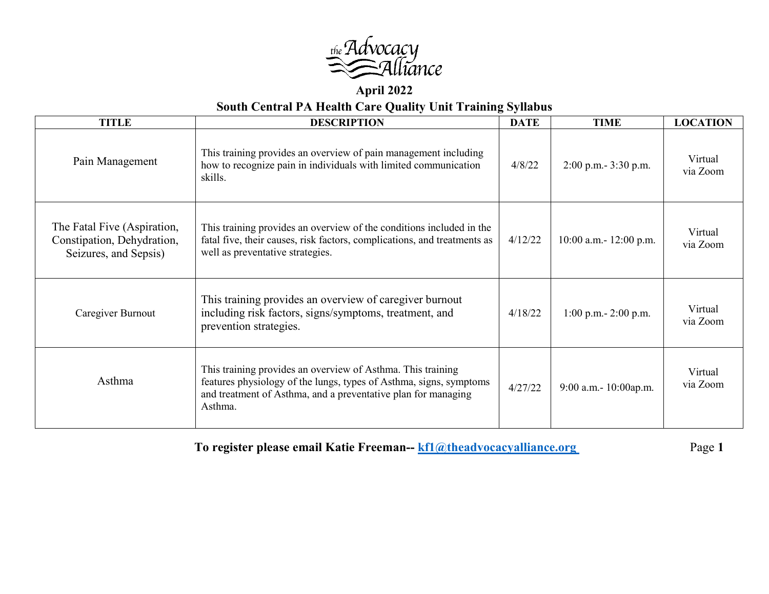

## **April 2022 South Central PA Health Care Quality Unit Training Syllabus**

| <b>TITLE</b>                                                                       | <b>DESCRIPTION</b>                                                                                                                                                                                            | <b>DATE</b> | <b>TIME</b>               | <b>LOCATION</b>     |
|------------------------------------------------------------------------------------|---------------------------------------------------------------------------------------------------------------------------------------------------------------------------------------------------------------|-------------|---------------------------|---------------------|
| Pain Management                                                                    | This training provides an overview of pain management including<br>how to recognize pain in individuals with limited communication<br>skills.                                                                 | 4/8/22      | $2:00$ p.m. $-3:30$ p.m.  | Virtual<br>via Zoom |
| The Fatal Five (Aspiration,<br>Constipation, Dehydration,<br>Seizures, and Sepsis) | This training provides an overview of the conditions included in the<br>fatal five, their causes, risk factors, complications, and treatments as<br>well as preventative strategies.                          | 4/12/22     | 10:00 a.m. - 12:00 p.m.   | Virtual<br>via Zoom |
| Caregiver Burnout                                                                  | This training provides an overview of caregiver burnout<br>including risk factors, signs/symptoms, treatment, and<br>prevention strategies.                                                                   | 4/18/22     | $1:00$ p.m. $- 2:00$ p.m. | Virtual<br>via Zoom |
| Asthma                                                                             | This training provides an overview of Asthma. This training<br>features physiology of the lungs, types of Asthma, signs, symptoms<br>and treatment of Asthma, and a preventative plan for managing<br>Asthma. | 4/27/22     | $9:00$ a.m. - 10:00ap.m.  | Virtual<br>via Zoom |

 **To register please email Katie Freeman-- [kf1@theadvocacyalliance.org](mailto:kf1@theadvocacyalliance.org)** Page 1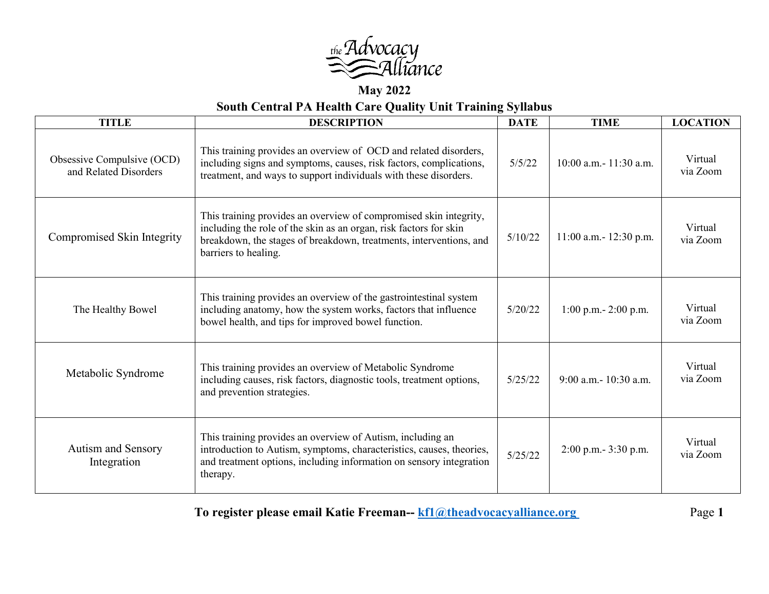

## **May 2022 South Central PA Health Care Quality Unit Training Syllabus**

| <b>TITLE</b>                                        | <b>DESCRIPTION</b>                                                                                                                                                                                                                   | <b>DATE</b> | <b>TIME</b>                | <b>LOCATION</b>     |
|-----------------------------------------------------|--------------------------------------------------------------------------------------------------------------------------------------------------------------------------------------------------------------------------------------|-------------|----------------------------|---------------------|
| Obsessive Compulsive (OCD)<br>and Related Disorders | This training provides an overview of OCD and related disorders,<br>including signs and symptoms, causes, risk factors, complications,<br>treatment, and ways to support individuals with these disorders.                           | 5/5/22      | $10:00$ a.m. $-11:30$ a.m. | Virtual<br>via Zoom |
| Compromised Skin Integrity                          | This training provides an overview of compromised skin integrity,<br>including the role of the skin as an organ, risk factors for skin<br>breakdown, the stages of breakdown, treatments, interventions, and<br>barriers to healing. | 5/10/22     | 11:00 a.m. - 12:30 p.m.    | Virtual<br>via Zoom |
| The Healthy Bowel                                   | This training provides an overview of the gastrointestinal system<br>including anatomy, how the system works, factors that influence<br>bowel health, and tips for improved bowel function.                                          | 5/20/22     | $1:00$ p.m.- $2:00$ p.m.   | Virtual<br>via Zoom |
| Metabolic Syndrome                                  | This training provides an overview of Metabolic Syndrome<br>including causes, risk factors, diagnostic tools, treatment options,<br>and prevention strategies.                                                                       | 5/25/22     | $9:00$ a.m. $-10:30$ a.m.  | Virtual<br>via Zoom |
| Autism and Sensory<br>Integration                   | This training provides an overview of Autism, including an<br>introduction to Autism, symptoms, characteristics, causes, theories,<br>and treatment options, including information on sensory integration<br>therapy.                | 5/25/22     | 2:00 p.m.- 3:30 p.m.       | Virtual<br>via Zoom |

 **To register please email Katie Freeman**-- **[kf1@theadvocacyalliance.org](mailto:kf1@theadvocacyalliance.org)** Page 1